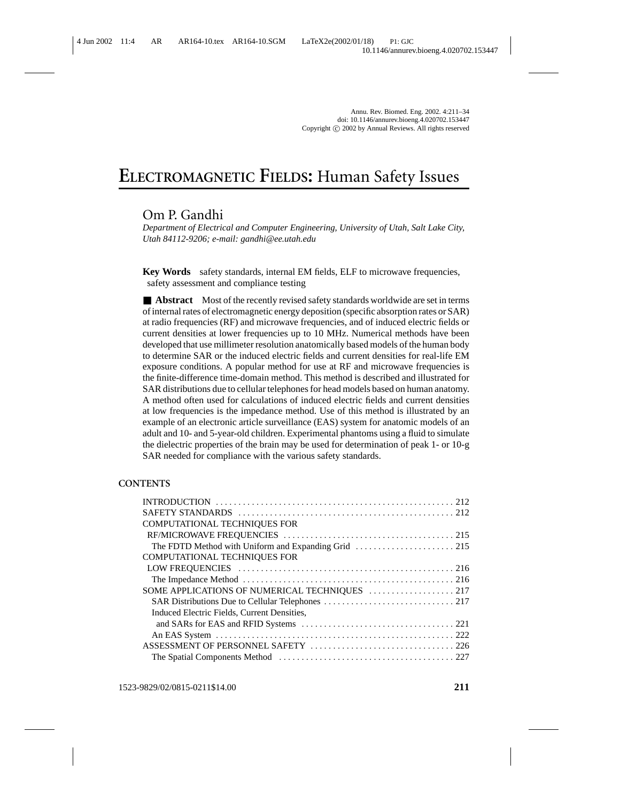# **ELECTROMAGNETIC FIELDS:** Human Safety Issues

# Om P. Gandhi

*Department of Electrical and Computer Engineering, University of Utah, Salt Lake City, Utah 84112-9206; e-mail: gandhi@ee.utah.edu*

**Key Words** safety standards, internal EM fields, ELF to microwave frequencies, safety assessment and compliance testing

■ **Abstract** Most of the recently revised safety standards worldwide are set in terms of internal rates of electromagnetic energy deposition (specific absorption rates or SAR) at radio frequencies (RF) and microwave frequencies, and of induced electric fields or current densities at lower frequencies up to 10 MHz. Numerical methods have been developed that use millimeter resolution anatomically based models of the human body to determine SAR or the induced electric fields and current densities for real-life EM exposure conditions. A popular method for use at RF and microwave frequencies is the finite-difference time-domain method. This method is described and illustrated for SAR distributions due to cellular telephones for head models based on human anatomy. A method often used for calculations of induced electric fields and current densities at low frequencies is the impedance method. Use of this method is illustrated by an example of an electronic article surveillance (EAS) system for anatomic models of an adult and 10- and 5-year-old children. Experimental phantoms using a fluid to simulate the dielectric properties of the brain may be used for determination of peak 1- or 10-g SAR needed for compliance with the various safety standards.

#### **CONTENTS**

| <b>COMPUTATIONAL TECHNIQUES FOR</b>         |  |
|---------------------------------------------|--|
|                                             |  |
|                                             |  |
| <b>COMPUTATIONAL TECHNIQUES FOR</b>         |  |
|                                             |  |
|                                             |  |
|                                             |  |
|                                             |  |
| Induced Electric Fields, Current Densities, |  |
|                                             |  |
|                                             |  |
|                                             |  |
|                                             |  |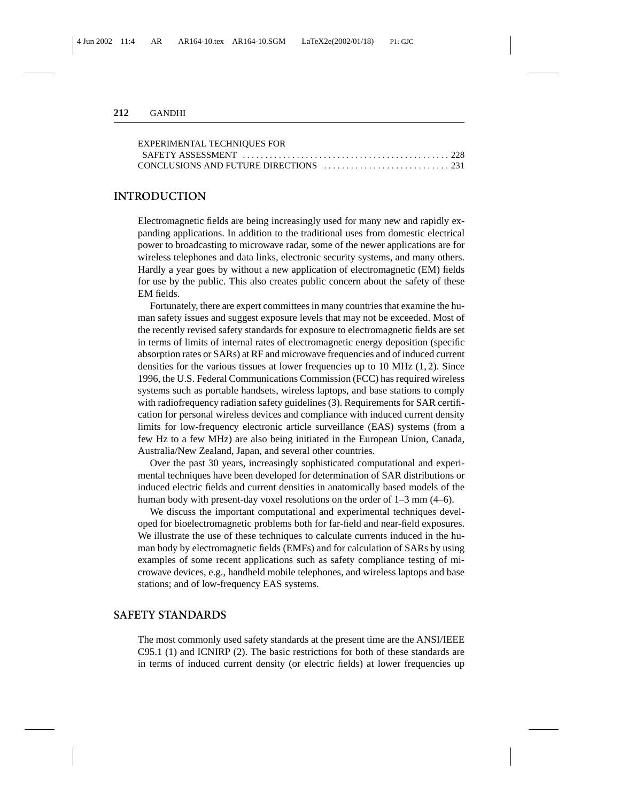| <b>EXPERIMENTAL TECHNIQUES FOR</b> |  |
|------------------------------------|--|
|                                    |  |
|                                    |  |

#### **INTRODUCTION**

Electromagnetic fields are being increasingly used for many new and rapidly expanding applications. In addition to the traditional uses from domestic electrical power to broadcasting to microwave radar, some of the newer applications are for wireless telephones and data links, electronic security systems, and many others. Hardly a year goes by without a new application of electromagnetic (EM) fields for use by the public. This also creates public concern about the safety of these EM fields.

Fortunately, there are expert committees in many countries that examine the human safety issues and suggest exposure levels that may not be exceeded. Most of the recently revised safety standards for exposure to electromagnetic fields are set in terms of limits of internal rates of electromagnetic energy deposition (specific absorption rates or SARs) at RF and microwave frequencies and of induced current densities for the various tissues at lower frequencies up to  $10 \text{ MHz } (1, 2)$ . Since 1996, the U.S. Federal Communications Commission (FCC) has required wireless systems such as portable handsets, wireless laptops, and base stations to comply with radiofrequency radiation safety guidelines (3). Requirements for SAR certification for personal wireless devices and compliance with induced current density limits for low-frequency electronic article surveillance (EAS) systems (from a few Hz to a few MHz) are also being initiated in the European Union, Canada, Australia/New Zealand, Japan, and several other countries.

Over the past 30 years, increasingly sophisticated computational and experimental techniques have been developed for determination of SAR distributions or induced electric fields and current densities in anatomically based models of the human body with present-day voxel resolutions on the order of 1–3 mm (4–6).

We discuss the important computational and experimental techniques developed for bioelectromagnetic problems both for far-field and near-field exposures. We illustrate the use of these techniques to calculate currents induced in the human body by electromagnetic fields (EMFs) and for calculation of SARs by using examples of some recent applications such as safety compliance testing of microwave devices, e.g., handheld mobile telephones, and wireless laptops and base stations; and of low-frequency EAS systems.

## **SAFETY STANDARDS**

The most commonly used safety standards at the present time are the ANSI/IEEE C95.1 (1) and ICNIRP (2). The basic restrictions for both of these standards are in terms of induced current density (or electric fields) at lower frequencies up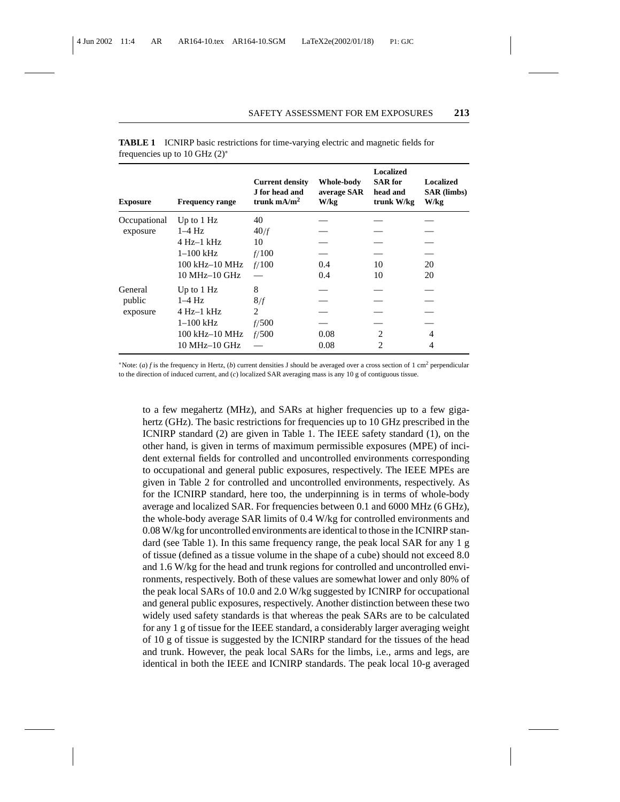| <b>Exposure</b> | <b>Frequency range</b> | <b>Current density</b><br>J for head and<br>trunk $mA/m2$ | Whole-body<br>average SAR<br>W/kg | <b>Localized</b><br><b>SAR</b> for<br>head and<br>trunk W/kg | <b>Localized</b><br><b>SAR</b> (limbs)<br>W/kg |
|-----------------|------------------------|-----------------------------------------------------------|-----------------------------------|--------------------------------------------------------------|------------------------------------------------|
| Occupational    | Up to $1$ Hz           | 40                                                        |                                   |                                                              |                                                |
| exposure        | $1-4$ Hz               | 40/f                                                      |                                   |                                                              |                                                |
|                 | $4$ Hz $-1$ kHz        | 10                                                        |                                   |                                                              |                                                |
|                 | $1-100$ kHz            | f/100                                                     |                                   |                                                              |                                                |
|                 | 100 kHz-10 MHz         | f/100                                                     | 0.4                               | 10                                                           | 20                                             |
|                 | $10 MHz-10 GHz$        |                                                           | 0.4                               | 10                                                           | 20                                             |
| General         | Up to $1$ Hz           | 8                                                         |                                   |                                                              |                                                |
| public          | $1-4$ Hz               | 8/f                                                       |                                   |                                                              |                                                |
| exposure        | $4$ Hz $-1$ kHz        | $\mathfrak{D}$                                            |                                   |                                                              |                                                |
|                 | $1-100$ kHz            | f/500                                                     |                                   |                                                              |                                                |
|                 | 100 kHz-10 MHz         | f/500                                                     | 0.08                              | 2                                                            | 4                                              |
|                 | $10$ MHz $-10$ GHz     |                                                           | 0.08                              | 2                                                            | 4                                              |

**TABLE 1** ICNIRP basic restrictions for time-varying electric and magnetic fields for frequencies up to 10 GHz (2)<sup>∗</sup>

<sup>∗</sup>Note: (*a*) *f* is the frequency in Hertz, (*b*) current densities J should be averaged over a cross section of 1 cm2 perpendicular to the direction of induced current, and (*c*) localized SAR averaging mass is any 10 g of contiguous tissue.

to a few megahertz (MHz), and SARs at higher frequencies up to a few gigahertz (GHz). The basic restrictions for frequencies up to 10 GHz prescribed in the ICNIRP standard (2) are given in Table 1. The IEEE safety standard (1), on the other hand, is given in terms of maximum permissible exposures (MPE) of incident external fields for controlled and uncontrolled environments corresponding to occupational and general public exposures, respectively. The IEEE MPEs are given in Table 2 for controlled and uncontrolled environments, respectively. As for the ICNIRP standard, here too, the underpinning is in terms of whole-body average and localized SAR. For frequencies between 0.1 and 6000 MHz (6 GHz), the whole-body average SAR limits of 0.4 W/kg for controlled environments and 0.08 W/kg for uncontrolled environments are identical to those in the ICNIRP standard (see Table 1). In this same frequency range, the peak local SAR for any 1 g of tissue (defined as a tissue volume in the shape of a cube) should not exceed 8.0 and 1.6 W/kg for the head and trunk regions for controlled and uncontrolled environments, respectively. Both of these values are somewhat lower and only 80% of the peak local SARs of 10.0 and 2.0 W/kg suggested by ICNIRP for occupational and general public exposures, respectively. Another distinction between these two widely used safety standards is that whereas the peak SARs are to be calculated for any 1 g of tissue for the IEEE standard, a considerably larger averaging weight of 10 g of tissue is suggested by the ICNIRP standard for the tissues of the head and trunk. However, the peak local SARs for the limbs, i.e., arms and legs, are identical in both the IEEE and ICNIRP standards. The peak local 10-g averaged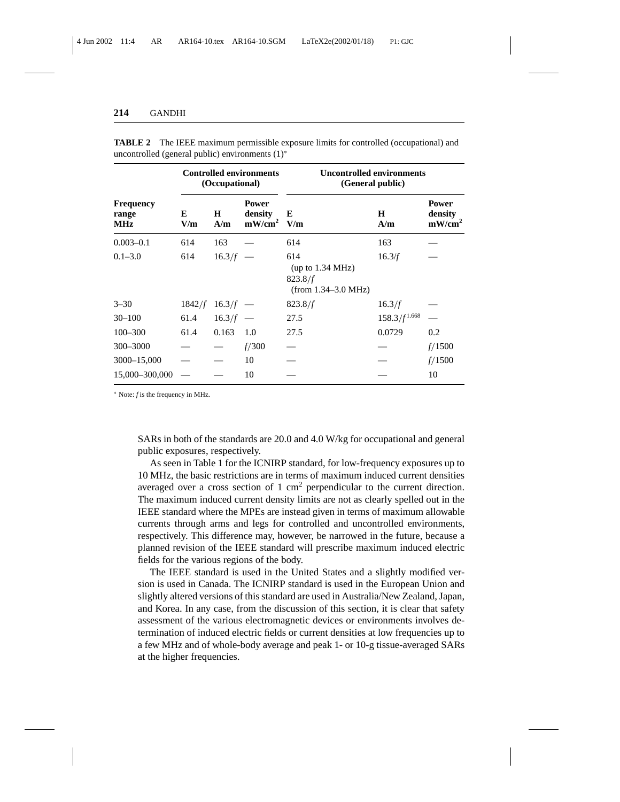|                                         | <b>Controlled environments</b><br>(Occupational) |                   |                                   | <b>Uncontrolled environments</b><br>(General public)        |                   |                                      |
|-----------------------------------------|--------------------------------------------------|-------------------|-----------------------------------|-------------------------------------------------------------|-------------------|--------------------------------------|
| <b>Frequency</b><br>range<br><b>MHz</b> | E<br>V/m                                         | н<br>A/m          | Power<br>density<br>$mW/cm^2$ V/m | E                                                           | H<br>A/m          | <b>Power</b><br>density<br>$mW/cm^2$ |
| $0.003 - 0.1$                           | 614                                              | 163               |                                   | 614                                                         | 163               |                                      |
| $0.1 - 3.0$                             | 614                                              | $16.3/f =$        |                                   | 614<br>(up to 1.34 MHz)<br>823.8/f<br>$(from 1.34-3.0 MHz)$ | 16.3/f            |                                      |
| $3 - 30$                                |                                                  | $1842/f$ 16.3/f — |                                   | 823.8/f                                                     | 16.3/f            |                                      |
| $30 - 100$                              | 61.4                                             | $16.3/f =$        |                                   | 27.5                                                        | $158.3/f^{1.668}$ |                                      |
| $100 - 300$                             | 61.4                                             | 0.163             | 1.0                               | 27.5                                                        | 0.0729            | 0.2                                  |
| 300-3000                                |                                                  |                   | f/300                             |                                                             |                   | f/1500                               |
| 3000-15,000                             |                                                  |                   | 10                                |                                                             |                   | f/1500                               |
| 15,000-300,000                          |                                                  |                   | 10                                |                                                             |                   | 10                                   |

**TABLE 2** The IEEE maximum permissible exposure limits for controlled (occupational) and uncontrolled (general public) environments (1)<sup>∗</sup>

<sup>∗</sup> Note: *f* is the frequency in MHz.

SARs in both of the standards are 20.0 and 4.0 W/kg for occupational and general public exposures, respectively.

As seen in Table 1 for the ICNIRP standard, for low-frequency exposures up to 10 MHz, the basic restrictions are in terms of maximum induced current densities averaged over a cross section of 1  $\text{cm}^2$  perpendicular to the current direction. The maximum induced current density limits are not as clearly spelled out in the IEEE standard where the MPEs are instead given in terms of maximum allowable currents through arms and legs for controlled and uncontrolled environments, respectively. This difference may, however, be narrowed in the future, because a planned revision of the IEEE standard will prescribe maximum induced electric fields for the various regions of the body.

The IEEE standard is used in the United States and a slightly modified version is used in Canada. The ICNIRP standard is used in the European Union and slightly altered versions of this standard are used in Australia/New Zealand, Japan, and Korea. In any case, from the discussion of this section, it is clear that safety assessment of the various electromagnetic devices or environments involves determination of induced electric fields or current densities at low frequencies up to a few MHz and of whole-body average and peak 1- or 10-g tissue-averaged SARs at the higher frequencies.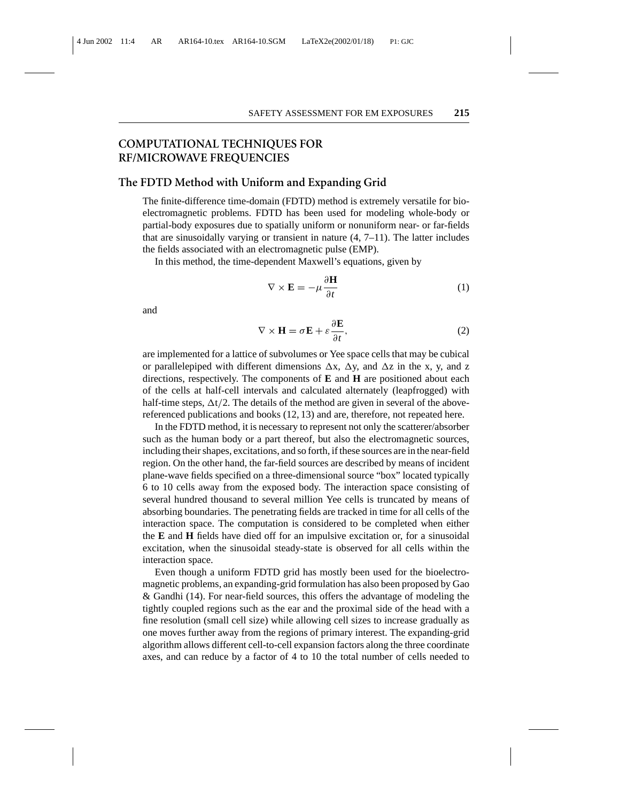## **COMPUTATIONAL TECHNIQUES FOR RF/MICROWAVE FREQUENCIES**

#### **The FDTD Method with Uniform and Expanding Grid**

The finite-difference time-domain (FDTD) method is extremely versatile for bioelectromagnetic problems. FDTD has been used for modeling whole-body or partial-body exposures due to spatially uniform or nonuniform near- or far-fields that are sinusoidally varying or transient in nature  $(4, 7-11)$ . The latter includes the fields associated with an electromagnetic pulse (EMP).

In this method, the time-dependent Maxwell's equations, given by

$$
\nabla \times \mathbf{E} = -\mu \frac{\partial \mathbf{H}}{\partial t}
$$
 (1)

and

$$
\nabla \times \mathbf{H} = \sigma \mathbf{E} + \varepsilon \frac{\partial \mathbf{E}}{\partial t},
$$
 (2)

are implemented for a lattice of subvolumes or Yee space cells that may be cubical or parallelepiped with different dimensions  $\Delta x$ ,  $\Delta y$ , and  $\Delta z$  in the x, y, and z directions, respectively. The components of **E** and **H** are positioned about each of the cells at half-cell intervals and calculated alternately (leapfrogged) with half-time steps,  $\Delta t/2$ . The details of the method are given in several of the abovereferenced publications and books (12, 13) and are, therefore, not repeated here.

In the FDTD method, it is necessary to represent not only the scatterer/absorber such as the human body or a part thereof, but also the electromagnetic sources, including their shapes, excitations, and so forth, if these sources are in the near-field region. On the other hand, the far-field sources are described by means of incident plane-wave fields specified on a three-dimensional source "box" located typically 6 to 10 cells away from the exposed body. The interaction space consisting of several hundred thousand to several million Yee cells is truncated by means of absorbing boundaries. The penetrating fields are tracked in time for all cells of the interaction space. The computation is considered to be completed when either the **E** and **H** fields have died off for an impulsive excitation or, for a sinusoidal excitation, when the sinusoidal steady-state is observed for all cells within the interaction space.

Even though a uniform FDTD grid has mostly been used for the bioelectromagnetic problems, an expanding-grid formulation has also been proposed by Gao & Gandhi (14). For near-field sources, this offers the advantage of modeling the tightly coupled regions such as the ear and the proximal side of the head with a fine resolution (small cell size) while allowing cell sizes to increase gradually as one moves further away from the regions of primary interest. The expanding-grid algorithm allows different cell-to-cell expansion factors along the three coordinate axes, and can reduce by a factor of 4 to 10 the total number of cells needed to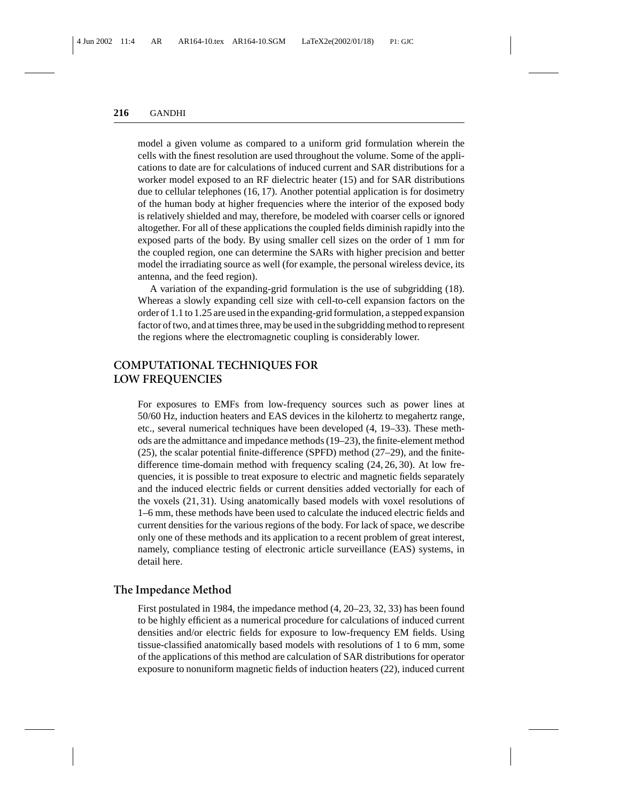model a given volume as compared to a uniform grid formulation wherein the cells with the finest resolution are used throughout the volume. Some of the applications to date are for calculations of induced current and SAR distributions for a worker model exposed to an RF dielectric heater (15) and for SAR distributions due to cellular telephones (16, 17). Another potential application is for dosimetry of the human body at higher frequencies where the interior of the exposed body is relatively shielded and may, therefore, be modeled with coarser cells or ignored altogether. For all of these applications the coupled fields diminish rapidly into the exposed parts of the body. By using smaller cell sizes on the order of 1 mm for the coupled region, one can determine the SARs with higher precision and better model the irradiating source as well (for example, the personal wireless device, its antenna, and the feed region).

A variation of the expanding-grid formulation is the use of subgridding (18). Whereas a slowly expanding cell size with cell-to-cell expansion factors on the order of 1.1 to 1.25 are used in the expanding-grid formulation, a stepped expansion factor of two, and at times three, may be used in the subgridding method to represent the regions where the electromagnetic coupling is considerably lower.

# **COMPUTATIONAL TECHNIQUES FOR LOW FREQUENCIES**

For exposures to EMFs from low-frequency sources such as power lines at 50/60 Hz, induction heaters and EAS devices in the kilohertz to megahertz range, etc., several numerical techniques have been developed (4, 19–33). These methods are the admittance and impedance methods (19–23), the finite-element method (25), the scalar potential finite-difference (SPFD) method (27–29), and the finitedifference time-domain method with frequency scaling (24, 26, 30). At low frequencies, it is possible to treat exposure to electric and magnetic fields separately and the induced electric fields or current densities added vectorially for each of the voxels (21, 31). Using anatomically based models with voxel resolutions of 1–6 mm, these methods have been used to calculate the induced electric fields and current densities for the various regions of the body. For lack of space, we describe only one of these methods and its application to a recent problem of great interest, namely, compliance testing of electronic article surveillance (EAS) systems, in detail here.

#### **The Impedance Method**

First postulated in 1984, the impedance method (4, 20–23, 32, 33) has been found to be highly efficient as a numerical procedure for calculations of induced current densities and/or electric fields for exposure to low-frequency EM fields. Using tissue-classified anatomically based models with resolutions of 1 to 6 mm, some of the applications of this method are calculation of SAR distributions for operator exposure to nonuniform magnetic fields of induction heaters (22), induced current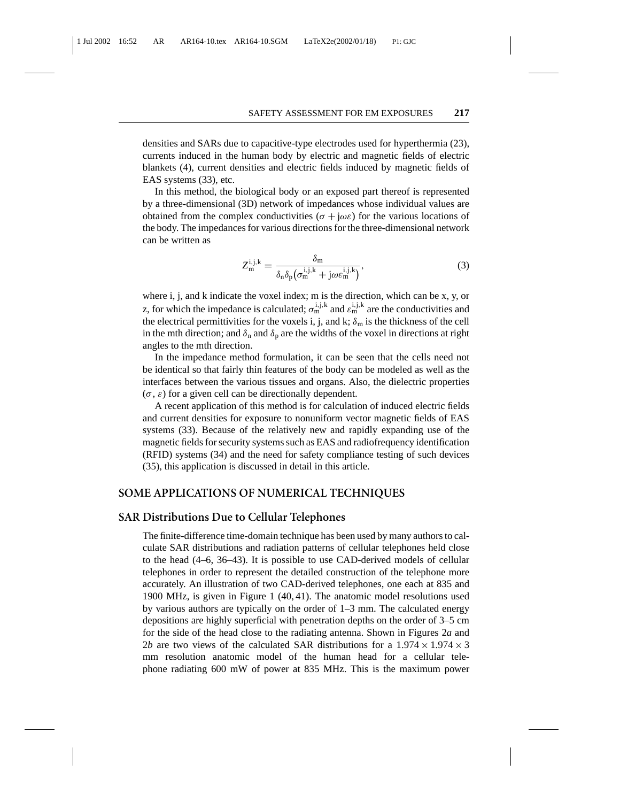densities and SARs due to capacitive-type electrodes used for hyperthermia (23), currents induced in the human body by electric and magnetic fields of electric blankets (4), current densities and electric fields induced by magnetic fields of EAS systems (33), etc.

In this method, the biological body or an exposed part thereof is represented by a three-dimensional (3D) network of impedances whose individual values are obtained from the complex conductivities ( $\sigma + j\omega\varepsilon$ ) for the various locations of the body. The impedances for various directions for the three-dimensional network can be written as

$$
Z_{\mathbf{m}}^{\mathbf{i}, \mathbf{j}, \mathbf{k}} = \frac{\delta_{\mathbf{m}}}{\delta_{\mathbf{n}} \delta_{\mathbf{p}} (\sigma_{\mathbf{m}}^{\mathbf{i}, \mathbf{j}, \mathbf{k}} + \mathbf{j} \omega \varepsilon_{\mathbf{m}}^{\mathbf{i}, \mathbf{j}, \mathbf{k}})},
$$
(3)

where i, j, and k indicate the voxel index; m is the direction, which can be x, y, or z, for which the impedance is calculated;  $\sigma_m^{i,j,k}$  and  $\varepsilon_m^{i,j,k}$  are the conductivities and the electrical permittivities for the voxels i, j, and k;  $\delta_m$  is the thickness of the cell in the mth direction; and  $\delta_n$  and  $\delta_p$  are the widths of the voxel in directions at right angles to the mth direction.

In the impedance method formulation, it can be seen that the cells need not be identical so that fairly thin features of the body can be modeled as well as the interfaces between the various tissues and organs. Also, the dielectric properties  $(\sigma, \varepsilon)$  for a given cell can be directionally dependent.

A recent application of this method is for calculation of induced electric fields and current densities for exposure to nonuniform vector magnetic fields of EAS systems (33). Because of the relatively new and rapidly expanding use of the magnetic fields for security systems such as EAS and radiofrequency identification (RFID) systems (34) and the need for safety compliance testing of such devices (35), this application is discussed in detail in this article.

## **SOME APPLICATIONS OF NUMERICAL TECHNIQUES**

## **SAR Distributions Due to Cellular Telephones**

The finite-difference time-domain technique has been used by many authors to calculate SAR distributions and radiation patterns of cellular telephones held close to the head (4–6, 36–43). It is possible to use CAD-derived models of cellular telephones in order to represent the detailed construction of the telephone more accurately. An illustration of two CAD-derived telephones, one each at 835 and 1900 MHz, is given in Figure 1 (40, 41). The anatomic model resolutions used by various authors are typically on the order of 1–3 mm. The calculated energy depositions are highly superficial with penetration depths on the order of 3–5 cm for the side of the head close to the radiating antenna. Shown in Figures 2*a* and 2*b* are two views of the calculated SAR distributions for a  $1.974 \times 1.974 \times 3$ mm resolution anatomic model of the human head for a cellular telephone radiating 600 mW of power at 835 MHz. This is the maximum power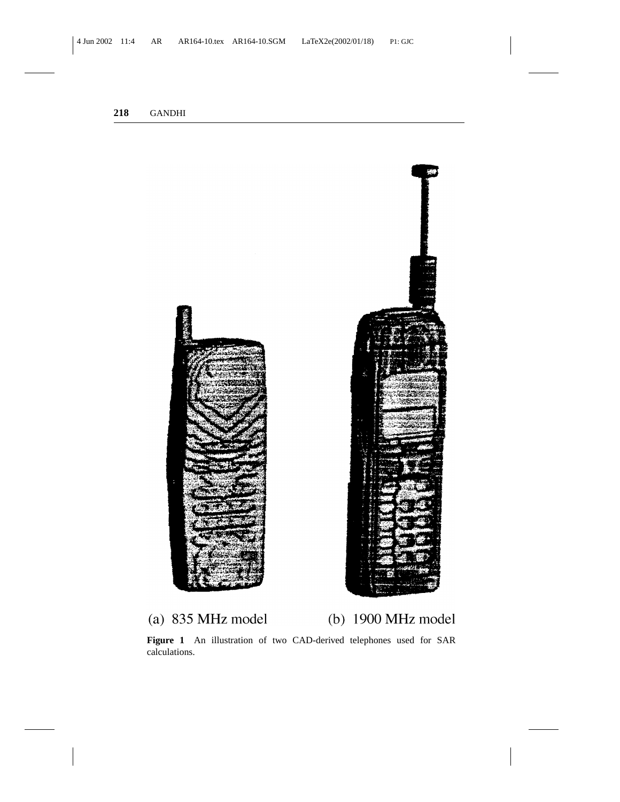



**Figure 1** An illustration of two CAD-derived telephones used for SAR calculations.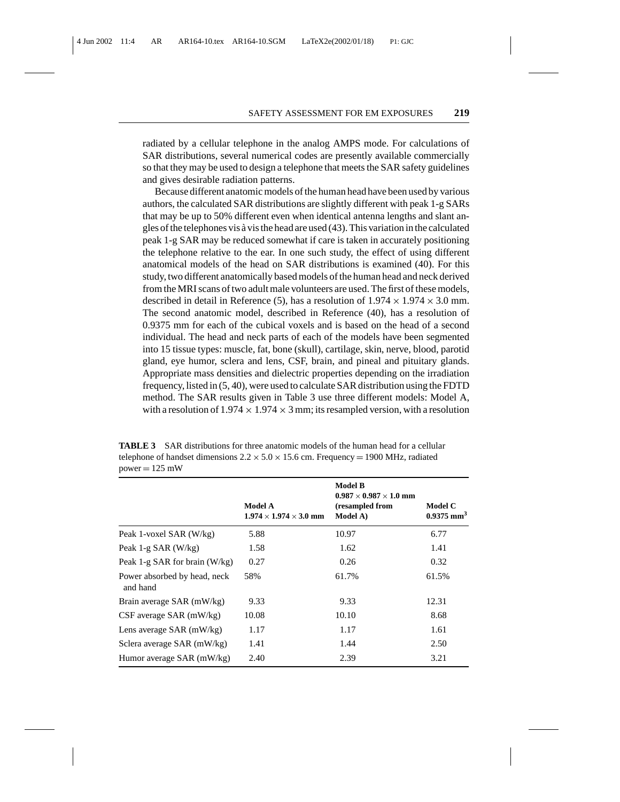radiated by a cellular telephone in the analog AMPS mode. For calculations of SAR distributions, several numerical codes are presently available commercially so that they may be used to design a telephone that meets the SAR safety guidelines and gives desirable radiation patterns.

Because different anatomic models of the human head have been used by various authors, the calculated SAR distributions are slightly different with peak 1-g SARs that may be up to 50% different even when identical antenna lengths and slant angles of the telephones vis  $\alpha$  vis the head are used (43). This variation in the calculated peak 1-g SAR may be reduced somewhat if care is taken in accurately positioning the telephone relative to the ear. In one such study, the effect of using different anatomical models of the head on SAR distributions is examined (40). For this study, two different anatomically based models of the human head and neck derived from the MRI scans of two adult male volunteers are used. The first of these models, described in detail in Reference (5), has a resolution of  $1.974 \times 1.974 \times 3.0$  mm. The second anatomic model, described in Reference (40), has a resolution of 0.9375 mm for each of the cubical voxels and is based on the head of a second individual. The head and neck parts of each of the models have been segmented into 15 tissue types: muscle, fat, bone (skull), cartilage, skin, nerve, blood, parotid gland, eye humor, sclera and lens, CSF, brain, and pineal and pituitary glands. Appropriate mass densities and dielectric properties depending on the irradiation frequency, listed in (5, 40), were used to calculate SAR distribution using the FDTD method. The SAR results given in Table 3 use three different models: Model A, with a resolution of  $1.974 \times 1.974 \times 3$  mm; its resampled version, with a resolution

**TABLE 3** SAR distributions for three anatomic models of the human head for a cellular telephone of handset dimensions  $2.2 \times 5.0 \times 15.6$  cm. Frequency = 1900 MHz, radiated  $power = 125$  mW

|                                          | Model A<br>$1.974 \times 1.974 \times 3.0$ mm | <b>Model B</b><br>$0.987 \times 0.987 \times 1.0$ mm<br>(resampled from<br>Model A) | <b>Model C</b><br>$0.9375$ mm <sup>3</sup> |
|------------------------------------------|-----------------------------------------------|-------------------------------------------------------------------------------------|--------------------------------------------|
|                                          |                                               |                                                                                     |                                            |
| Peak 1-voxel SAR (W/kg)                  | 5.88                                          | 10.97                                                                               | 6.77                                       |
| Peak 1-g $SAR$ (W/kg)                    | 1.58                                          | 1.62                                                                                | 1.41                                       |
| Peak 1-g SAR for brain $(W/kg)$          | 0.27                                          | 0.26                                                                                | 0.32                                       |
| Power absorbed by head, neck<br>and hand | 58%                                           | 61.7%                                                                               | 61.5%                                      |
| Brain average SAR (mW/kg)                | 9.33                                          | 9.33                                                                                | 12.31                                      |
| $CSF$ average SAR (mW/kg)                | 10.08                                         | 10.10                                                                               | 8.68                                       |
| Lens average $SAR$ (mW/kg)               | 1.17                                          | 1.17                                                                                | 1.61                                       |
| Sclera average SAR (mW/kg)               | 1.41                                          | 1.44                                                                                | 2.50                                       |
| Humor average SAR (mW/kg)                | 2.40                                          | 2.39                                                                                | 3.21                                       |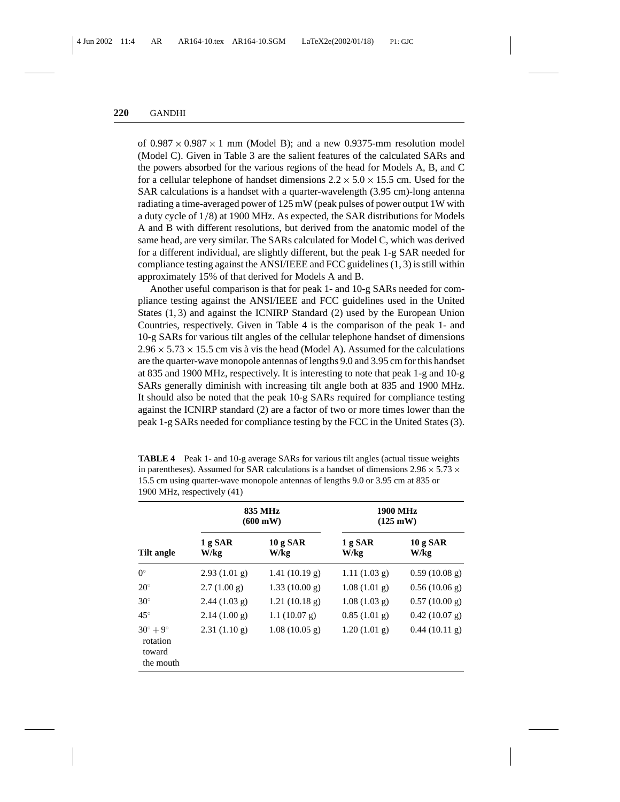of  $0.987 \times 0.987 \times 1$  mm (Model B); and a new 0.9375-mm resolution model (Model C). Given in Table 3 are the salient features of the calculated SARs and the powers absorbed for the various regions of the head for Models A, B, and C for a cellular telephone of handset dimensions  $2.2 \times 5.0 \times 15.5$  cm. Used for the SAR calculations is a handset with a quarter-wavelength (3.95 cm)-long antenna radiating a time-averaged power of 125 mW (peak pulses of power output 1W with a duty cycle of 1/8) at 1900 MHz. As expected, the SAR distributions for Models A and B with different resolutions, but derived from the anatomic model of the same head, are very similar. The SARs calculated for Model C, which was derived for a different individual, are slightly different, but the peak 1-g SAR needed for compliance testing against the ANSI/IEEE and FCC guidelines (1, 3) is still within approximately 15% of that derived for Models A and B.

Another useful comparison is that for peak 1- and 10-g SARs needed for compliance testing against the ANSI/IEEE and FCC guidelines used in the United States (1, 3) and against the ICNIRP Standard (2) used by the European Union Countries, respectively. Given in Table 4 is the comparison of the peak 1- and 10-g SARs for various tilt angles of the cellular telephone handset of dimensions  $2.96 \times 5.73 \times 15.5$  cm vis à vis the head (Model A). Assumed for the calculations are the quarter-wave monopole antennas of lengths 9.0 and 3.95 cm for this handset at 835 and 1900 MHz, respectively. It is interesting to note that peak 1-g and 10-g SARs generally diminish with increasing tilt angle both at 835 and 1900 MHz. It should also be noted that the peak 10-g SARs required for compliance testing against the ICNIRP standard (2) are a factor of two or more times lower than the peak 1-g SARs needed for compliance testing by the FCC in the United States (3).

|                                                             |                 | 835 MHz<br>$(600 \text{ mW})$ | <b>1900 MHz</b><br>$(125 \text{ mW})$ |                  |  |
|-------------------------------------------------------------|-----------------|-------------------------------|---------------------------------------|------------------|--|
| Tilt angle                                                  | 1 g SAR<br>W/kg | 10 g SAR<br>W/kg              | 1 g SAR<br>W/kg                       | 10 g SAR<br>W/kg |  |
| $0^{\circ}$                                                 | $2.93(1.01)$ g) | 1.41(10.19 g)                 | 1.11(1.03 g)                          | 0.59(10.08 g)    |  |
| $20^{\circ}$                                                | 2.7(1.00 g)     | 1.33(10.00 g)                 | 1.08(1.01)                            | 0.56(10.06 g)    |  |
| $30^\circ$                                                  | 2.44(1.03 g)    | 1.21(10.18 g)                 | 1.08(1.03 g)                          | 0.57(10.00 g)    |  |
| $45^{\circ}$                                                | 2.14(1.00 g)    | 1.1(10.07 g)                  | 0.85(1.01 g)                          | 0.42(10.07 g)    |  |
| $30^{\circ} + 9^{\circ}$<br>rotation<br>toward<br>the mouth | 2.31(1.10 g)    | 1.08(10.05 g)                 | 1.20(1.01 g)                          | 0.44(10.11 g)    |  |

**TABLE 4** Peak 1- and 10-g average SARs for various tilt angles (actual tissue weights in parentheses). Assumed for SAR calculations is a handset of dimensions  $2.96 \times 5.73 \times$ 15.5 cm using quarter-wave monopole antennas of lengths 9.0 or 3.95 cm at 835 or 1900 MHz, respectively (41)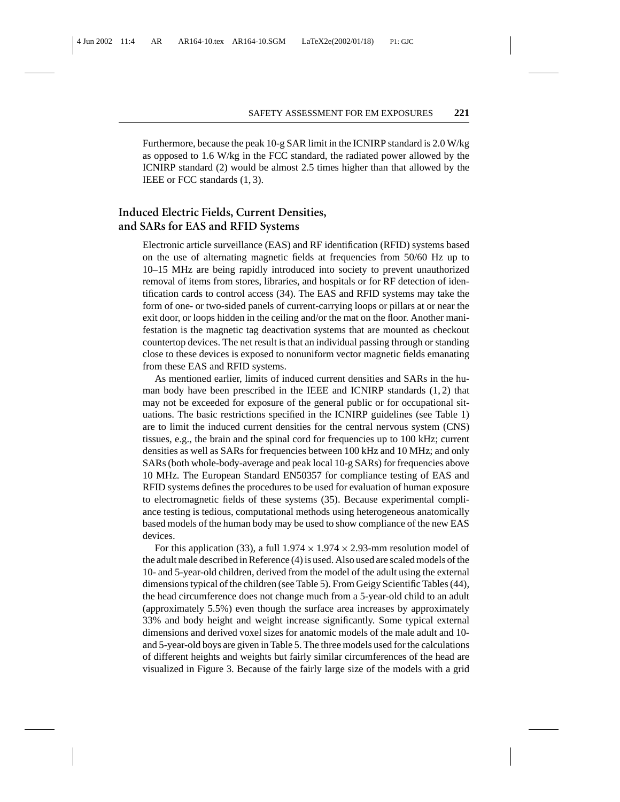Furthermore, because the peak 10-g SAR limit in the ICNIRP standard is 2.0 W/kg as opposed to 1.6 W/kg in the FCC standard, the radiated power allowed by the ICNIRP standard (2) would be almost 2.5 times higher than that allowed by the IEEE or FCC standards (1, 3).

## **Induced Electric Fields, Current Densities, and SARs for EAS and RFID Systems**

Electronic article surveillance (EAS) and RF identification (RFID) systems based on the use of alternating magnetic fields at frequencies from 50/60 Hz up to 10–15 MHz are being rapidly introduced into society to prevent unauthorized removal of items from stores, libraries, and hospitals or for RF detection of identification cards to control access (34). The EAS and RFID systems may take the form of one- or two-sided panels of current-carrying loops or pillars at or near the exit door, or loops hidden in the ceiling and/or the mat on the floor. Another manifestation is the magnetic tag deactivation systems that are mounted as checkout countertop devices. The net result is that an individual passing through or standing close to these devices is exposed to nonuniform vector magnetic fields emanating from these EAS and RFID systems.

As mentioned earlier, limits of induced current densities and SARs in the human body have been prescribed in the IEEE and ICNIRP standards (1, 2) that may not be exceeded for exposure of the general public or for occupational situations. The basic restrictions specified in the ICNIRP guidelines (see Table 1) are to limit the induced current densities for the central nervous system (CNS) tissues, e.g., the brain and the spinal cord for frequencies up to 100 kHz; current densities as well as SARs for frequencies between 100 kHz and 10 MHz; and only SARs (both whole-body-average and peak local 10-g SARs) for frequencies above 10 MHz. The European Standard EN50357 for compliance testing of EAS and RFID systems defines the procedures to be used for evaluation of human exposure to electromagnetic fields of these systems (35). Because experimental compliance testing is tedious, computational methods using heterogeneous anatomically based models of the human body may be used to show compliance of the new EAS devices.

For this application (33), a full  $1.974 \times 1.974 \times 2.93$ -mm resolution model of the adult male described in Reference (4) is used. Also used are scaled models of the 10- and 5-year-old children, derived from the model of the adult using the external dimensions typical of the children (see Table 5). From Geigy Scientific Tables (44), the head circumference does not change much from a 5-year-old child to an adult (approximately 5.5%) even though the surface area increases by approximately 33% and body height and weight increase significantly. Some typical external dimensions and derived voxel sizes for anatomic models of the male adult and 10 and 5-year-old boys are given in Table 5. The three models used for the calculations of different heights and weights but fairly similar circumferences of the head are visualized in Figure 3. Because of the fairly large size of the models with a grid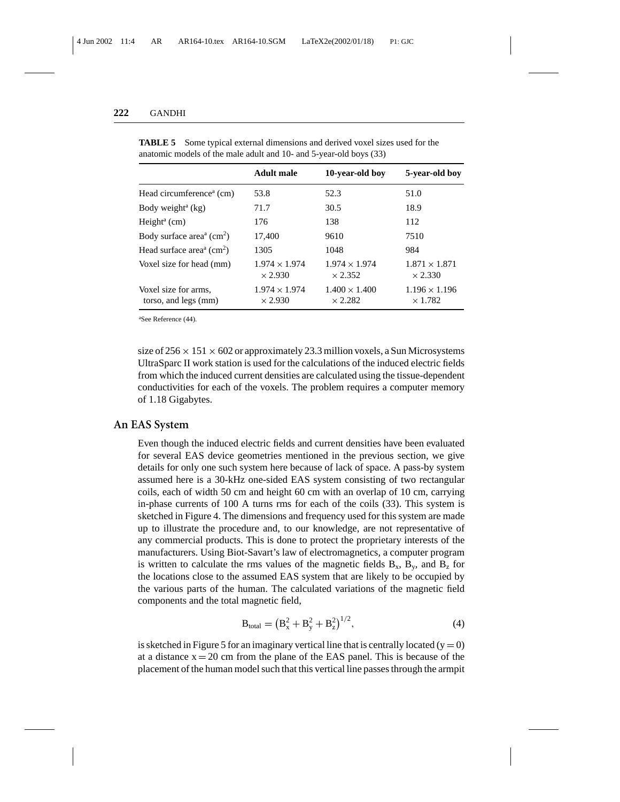|                                                                | Adult male                             | 10-year-old boy                        | 5-year-old boy                         |
|----------------------------------------------------------------|----------------------------------------|----------------------------------------|----------------------------------------|
| Head circumference <sup>a</sup> (cm)                           | 53.8                                   | 52.3                                   | 51.0                                   |
| Body weight <sup>a</sup> $(kg)$                                | 71.7                                   | 30.5                                   | 18.9                                   |
| Height <sup>a</sup> $(cm)$                                     | 176                                    | 138                                    | 112                                    |
| Body surface area <sup><math>a</math></sup> (cm <sup>2</sup> ) | 17.400                                 | 9610                                   | 7510                                   |
| Head surface area <sup><math>a</math></sup> (cm <sup>2</sup> ) | 1305                                   | 1048                                   | 984                                    |
| Voxel size for head (mm)                                       | $1.974 \times 1.974$<br>$\times$ 2.930 | $1.974 \times 1.974$<br>$\times$ 2.352 | $1.871 \times 1.871$<br>$\times$ 2.330 |
| Voxel size for arms.<br>torso, and legs (mm)                   | $1.974 \times 1.974$<br>$\times$ 2.930 | $1.400 \times 1.400$<br>$\times$ 2.282 | $1.196 \times 1.196$<br>$\times$ 1.782 |

**TABLE 5** Some typical external dimensions and derived voxel sizes used for the anatomic models of the male adult and 10- and 5-year-old boys (33)

a See Reference (44).

size of  $256 \times 151 \times 602$  or approximately 23.3 million voxels, a Sun Microsystems UltraSparc II work station is used for the calculations of the induced electric fields from which the induced current densities are calculated using the tissue-dependent conductivities for each of the voxels. The problem requires a computer memory of 1.18 Gigabytes.

#### **An EAS System**

Even though the induced electric fields and current densities have been evaluated for several EAS device geometries mentioned in the previous section, we give details for only one such system here because of lack of space. A pass-by system assumed here is a 30-kHz one-sided EAS system consisting of two rectangular coils, each of width 50 cm and height 60 cm with an overlap of 10 cm, carrying in-phase currents of 100 A turns rms for each of the coils (33). This system is sketched in Figure 4. The dimensions and frequency used for this system are made up to illustrate the procedure and, to our knowledge, are not representative of any commercial products. This is done to protect the proprietary interests of the manufacturers. Using Biot-Savart's law of electromagnetics, a computer program is written to calculate the rms values of the magnetic fields  $B_x$ ,  $B_y$ , and  $B_z$  for the locations close to the assumed EAS system that are likely to be occupied by the various parts of the human. The calculated variations of the magnetic field components and the total magnetic field,

$$
B_{\text{total}} = (B_x^2 + B_y^2 + B_z^2)^{1/2},\tag{4}
$$

is sketched in Figure 5 for an imaginary vertical line that is centrally located  $(y = 0)$ at a distance  $x = 20$  cm from the plane of the EAS panel. This is because of the placement of the human model such that this vertical line passes through the armpit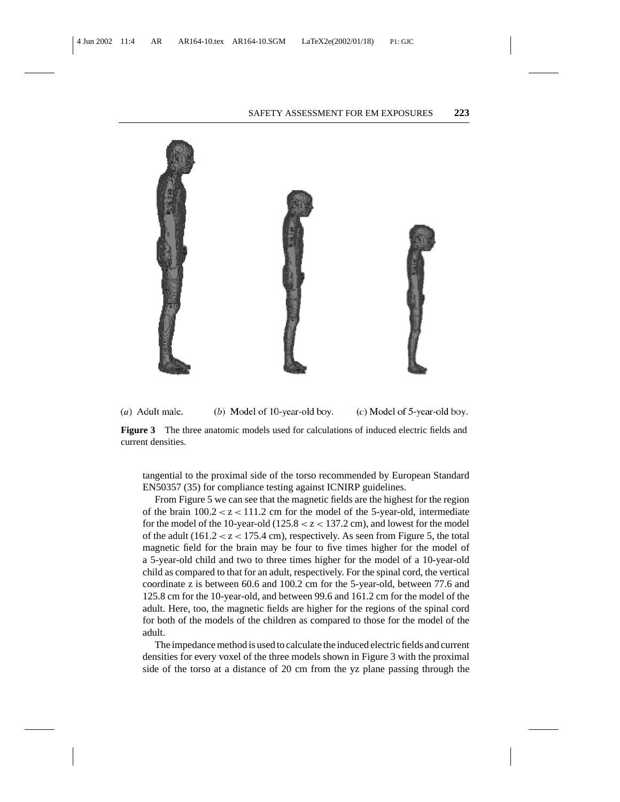

 $(a)$  Adult male. (b) Model of 10-year-old boy.  $(c)$  Model of 5-year-old boy.

**Figure 3** The three anatomic models used for calculations of induced electric fields and current densities.

tangential to the proximal side of the torso recommended by European Standard EN50357 (35) for compliance testing against ICNIRP guidelines.

From Figure 5 we can see that the magnetic fields are the highest for the region of the brain  $100.2 < z < 111.2$  cm for the model of the 5-year-old, intermediate for the model of the 10-year-old  $(125.8 < z < 137.2$  cm), and lowest for the model of the adult  $(161.2 < z < 175.4$  cm), respectively. As seen from Figure 5, the total magnetic field for the brain may be four to five times higher for the model of a 5-year-old child and two to three times higher for the model of a 10-year-old child as compared to that for an adult, respectively. For the spinal cord, the vertical coordinate z is between 60.6 and 100.2 cm for the 5-year-old, between 77.6 and 125.8 cm for the 10-year-old, and between 99.6 and 161.2 cm for the model of the adult. Here, too, the magnetic fields are higher for the regions of the spinal cord for both of the models of the children as compared to those for the model of the adult.

The impedance method is used to calculate the induced electric fields and current densities for every voxel of the three models shown in Figure 3 with the proximal side of the torso at a distance of 20 cm from the yz plane passing through the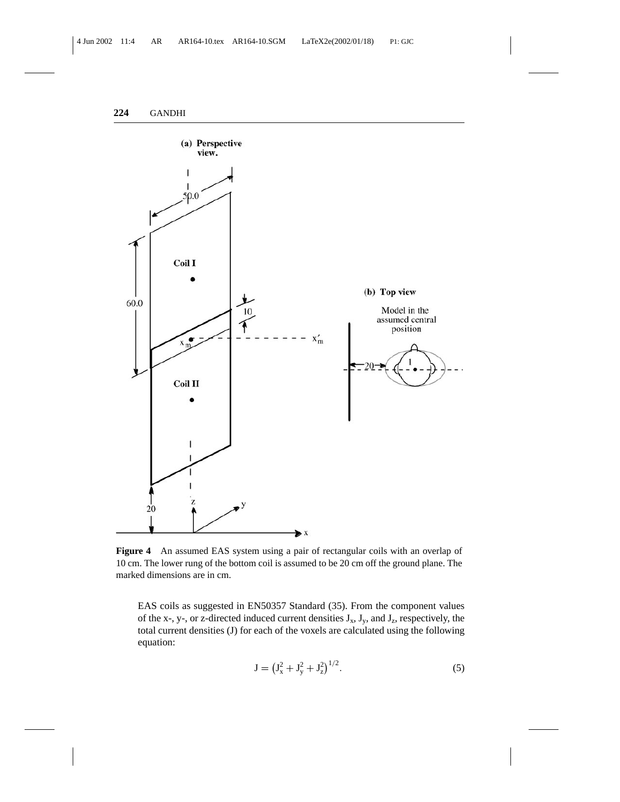

**Figure 4** An assumed EAS system using a pair of rectangular coils with an overlap of 10 cm. The lower rung of the bottom coil is assumed to be 20 cm off the ground plane. The marked dimensions are in cm.

EAS coils as suggested in EN50357 Standard (35). From the component values of the x-, y-, or z-directed induced current densities  $J_x$ ,  $J_y$ , and  $J_z$ , respectively, the total current densities (J) for each of the voxels are calculated using the following equation:

$$
J = (J_x^2 + J_y^2 + J_z^2)^{1/2}.
$$
 (5)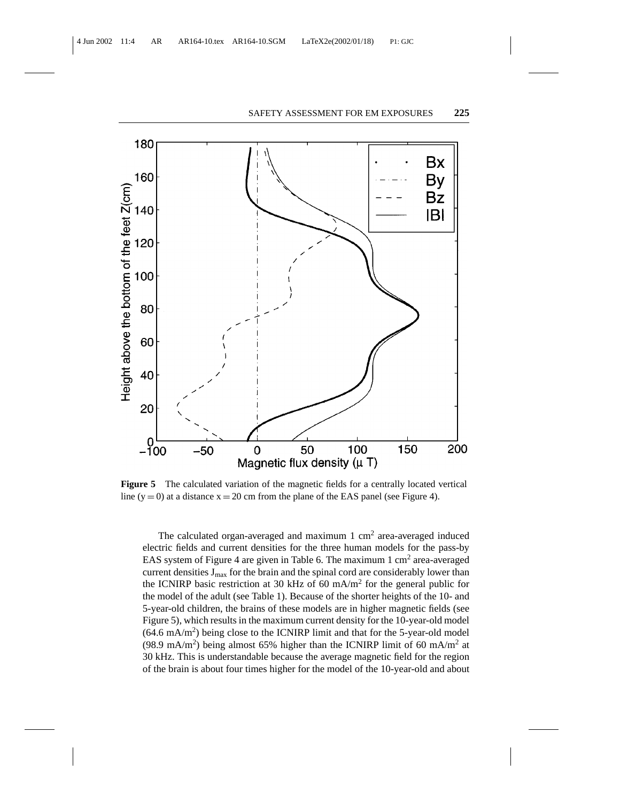

**Figure 5** The calculated variation of the magnetic fields for a centrally located vertical line  $(y = 0)$  at a distance  $x = 20$  cm from the plane of the EAS panel (see Figure 4).

The calculated organ-averaged and maximum  $1 \text{ cm}^2$  area-averaged induced electric fields and current densities for the three human models for the pass-by EAS system of Figure 4 are given in Table 6. The maximum 1 cm<sup>2</sup> area-averaged current densities  $J_{max}$  for the brain and the spinal cord are considerably lower than the ICNIRP basic restriction at 30 kHz of 60 mA/m<sup>2</sup> for the general public for the model of the adult (see Table 1). Because of the shorter heights of the 10- and 5-year-old children, the brains of these models are in higher magnetic fields (see Figure 5), which results in the maximum current density for the 10-year-old model  $(64.6 \text{ mA/m}^2)$  being close to the ICNIRP limit and that for the 5-year-old model (98.9 mA/m<sup>2</sup>) being almost 65% higher than the ICNIRP limit of 60 mA/m<sup>2</sup> at 30 kHz. This is understandable because the average magnetic field for the region of the brain is about four times higher for the model of the 10-year-old and about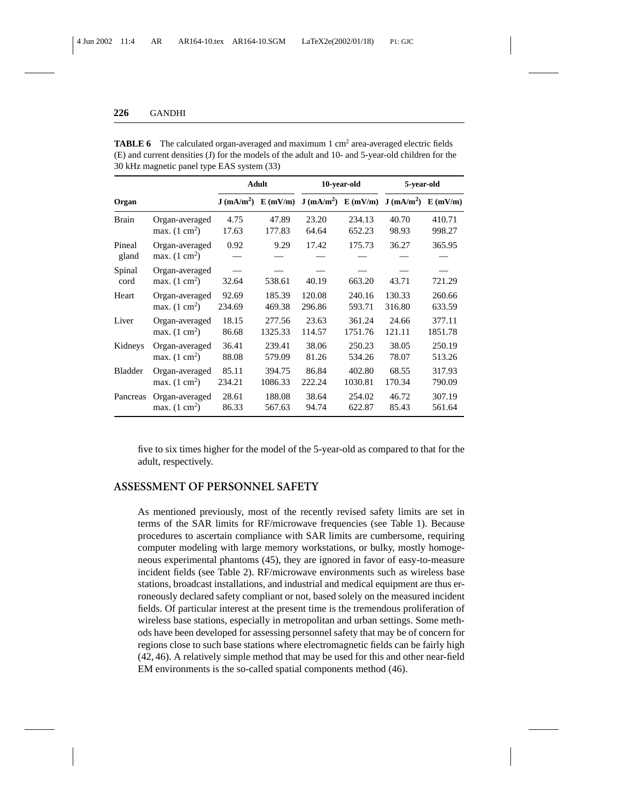|                 |                                           |        | <b>Adult</b> |                                                                      | 10-year-old | 5-year-old |         |
|-----------------|-------------------------------------------|--------|--------------|----------------------------------------------------------------------|-------------|------------|---------|
| Organ           |                                           |        |              | $J (mA/m2)$ $E (mV/m)$ $J (mA/m2)$ $E (mV/m)$ $J (mA/m2)$ $E (mV/m)$ |             |            |         |
| Brain           | Organ-averaged                            | 4.75   | 47.89        | 23.20                                                                | 234.13      | 40.70      | 410.71  |
|                 | max. $(1 \text{ cm}^2)$                   | 17.63  | 177.83       | 64.64                                                                | 652.23      | 98.93      | 998.27  |
| Pineal<br>gland | Organ-averaged<br>max. $(1 \text{ cm}^2)$ | 0.92   | 9.29         | 17.42                                                                | 175.73      | 36.27      | 365.95  |
| Spinal<br>cord  | Organ-averaged<br>max. $(1 \text{ cm}^2)$ | 32.64  | 538.61       | 40.19                                                                | 663.20      | 43.71      | 721.29  |
| Heart           | Organ-averaged                            | 92.69  | 185.39       | 120.08                                                               | 240.16      | 130.33     | 260.66  |
|                 | max. $(1 \text{ cm}^2)$                   | 234.69 | 469.38       | 296.86                                                               | 593.71      | 316.80     | 633.59  |
| Liver           | Organ-averaged                            | 18.15  | 277.56       | 23.63                                                                | 361.24      | 24.66      | 377.11  |
|                 | max. $(1 \text{ cm}^2)$                   | 86.68  | 1325.33      | 114.57                                                               | 1751.76     | 121.11     | 1851.78 |
| Kidneys         | Organ-averaged                            | 36.41  | 239.41       | 38.06                                                                | 250.23      | 38.05      | 250.19  |
|                 | max. $(1 \text{ cm}^2)$                   | 88.08  | 579.09       | 81.26                                                                | 534.26      | 78.07      | 513.26  |
| Bladder         | Organ-averaged                            | 85.11  | 394.75       | 86.84                                                                | 402.80      | 68.55      | 317.93  |
|                 | max. $(1 \text{ cm}^2)$                   | 234.21 | 1086.33      | 222.24                                                               | 1030.81     | 170.34     | 790.09  |
| Pancreas        | Organ-averaged                            | 28.61  | 188.08       | 38.64                                                                | 254.02      | 46.72      | 307.19  |
|                 | max. $(1 \text{ cm}^2)$                   | 86.33  | 567.63       | 94.74                                                                | 622.87      | 85.43      | 561.64  |

**TABLE 6** The calculated organ-averaged and maximum 1 cm<sup>2</sup> area-averaged electric fields (E) and current densities (J) for the models of the adult and 10- and 5-year-old children for the 30 kHz magnetic panel type EAS system (33)

five to six times higher for the model of the 5-year-old as compared to that for the adult, respectively.

# **ASSESSMENT OF PERSONNEL SAFETY**

As mentioned previously, most of the recently revised safety limits are set in terms of the SAR limits for RF/microwave frequencies (see Table 1). Because procedures to ascertain compliance with SAR limits are cumbersome, requiring computer modeling with large memory workstations, or bulky, mostly homogeneous experimental phantoms (45), they are ignored in favor of easy-to-measure incident fields (see Table 2). RF/microwave environments such as wireless base stations, broadcast installations, and industrial and medical equipment are thus erroneously declared safety compliant or not, based solely on the measured incident fields. Of particular interest at the present time is the tremendous proliferation of wireless base stations, especially in metropolitan and urban settings. Some methods have been developed for assessing personnel safety that may be of concern for regions close to such base stations where electromagnetic fields can be fairly high (42, 46). A relatively simple method that may be used for this and other near-field EM environments is the so-called spatial components method (46).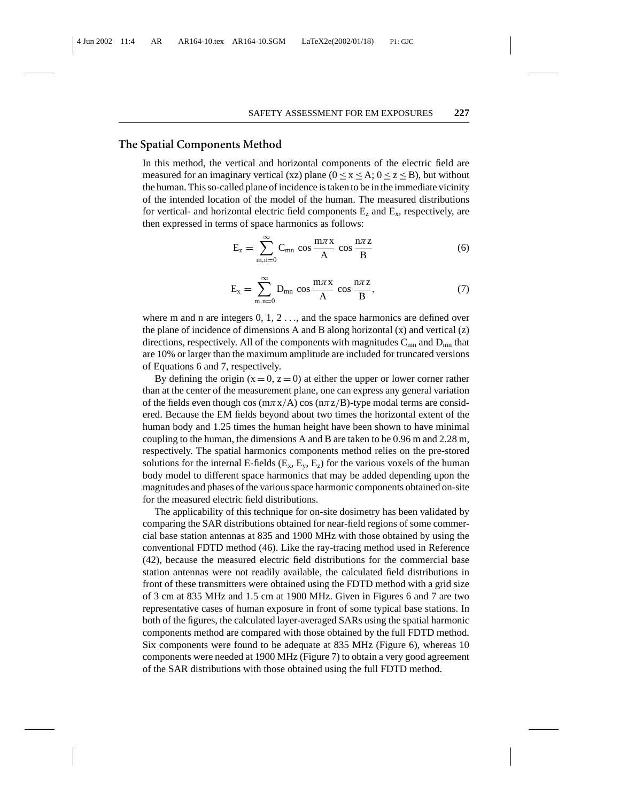#### **The Spatial Components Method**

In this method, the vertical and horizontal components of the electric field are measured for an imaginary vertical (xz) plane ( $0 \le x \le A$ ;  $0 \le z \le B$ ), but without the human. This so-called plane of incidence is taken to be in the immediate vicinity of the intended location of the model of the human. The measured distributions for vertical- and horizontal electric field components  $E_z$  and  $E_x$ , respectively, are then expressed in terms of space harmonics as follows:

$$
E_z = \sum_{m,n=0}^{\infty} C_{mn} \cos \frac{m\pi x}{A} \cos \frac{n\pi z}{B}
$$
 (6)

$$
E_x = \sum_{m,n=0}^{\infty} D_{mn} \cos \frac{m\pi x}{A} \cos \frac{n\pi z}{B},
$$
 (7)

where m and n are integers  $0, 1, 2, \ldots$ , and the space harmonics are defined over the plane of incidence of dimensions A and B along horizontal  $(x)$  and vertical  $(z)$ directions, respectively. All of the components with magnitudes  $C_{mn}$  and  $D_{mn}$  that are 10% or larger than the maximum amplitude are included for truncated versions of Equations 6 and 7, respectively.

By defining the origin  $(x = 0, z = 0)$  at either the upper or lower corner rather than at the center of the measurement plane, one can express any general variation of the fields even though cos ( $m\pi x/A$ ) cos ( $n\pi z/B$ )-type modal terms are considered. Because the EM fields beyond about two times the horizontal extent of the human body and 1.25 times the human height have been shown to have minimal coupling to the human, the dimensions A and B are taken to be 0.96 m and 2.28 m, respectively. The spatial harmonics components method relies on the pre-stored solutions for the internal E-fields  $(E_x, E_y, E_z)$  for the various voxels of the human body model to different space harmonics that may be added depending upon the magnitudes and phases of the various space harmonic components obtained on-site for the measured electric field distributions.

The applicability of this technique for on-site dosimetry has been validated by comparing the SAR distributions obtained for near-field regions of some commercial base station antennas at 835 and 1900 MHz with those obtained by using the conventional FDTD method (46). Like the ray-tracing method used in Reference (42), because the measured electric field distributions for the commercial base station antennas were not readily available, the calculated field distributions in front of these transmitters were obtained using the FDTD method with a grid size of 3 cm at 835 MHz and 1.5 cm at 1900 MHz. Given in Figures 6 and 7 are two representative cases of human exposure in front of some typical base stations. In both of the figures, the calculated layer-averaged SARs using the spatial harmonic components method are compared with those obtained by the full FDTD method. Six components were found to be adequate at 835 MHz (Figure 6), whereas 10 components were needed at 1900 MHz (Figure 7) to obtain a very good agreement of the SAR distributions with those obtained using the full FDTD method.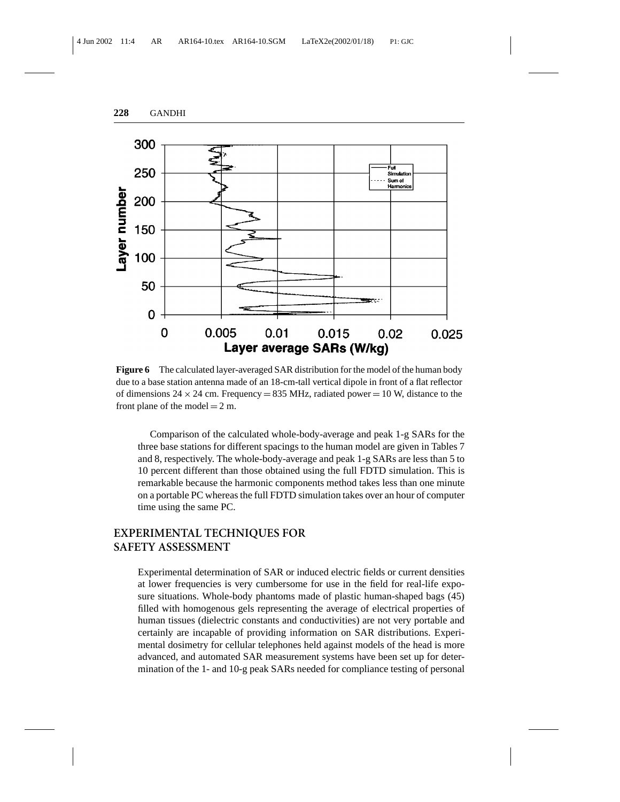

**Figure 6** The calculated layer-averaged SAR distribution for the model of the human body due to a base station antenna made of an 18-cm-tall vertical dipole in front of a flat reflector of dimensions 24  $\times$  24 cm. Frequency = 835 MHz, radiated power = 10 W, distance to the front plane of the model  $= 2$  m.

Comparison of the calculated whole-body-average and peak 1-g SARs for the three base stations for different spacings to the human model are given in Tables 7 and 8, respectively. The whole-body-average and peak 1-g SARs are less than 5 to 10 percent different than those obtained using the full FDTD simulation. This is remarkable because the harmonic components method takes less than one minute on a portable PC whereas the full FDTD simulation takes over an hour of computer time using the same PC.

## **EXPERIMENTAL TECHNIQUES FOR SAFETY ASSESSMENT**

Experimental determination of SAR or induced electric fields or current densities at lower frequencies is very cumbersome for use in the field for real-life exposure situations. Whole-body phantoms made of plastic human-shaped bags (45) filled with homogenous gels representing the average of electrical properties of human tissues (dielectric constants and conductivities) are not very portable and certainly are incapable of providing information on SAR distributions. Experimental dosimetry for cellular telephones held against models of the head is more advanced, and automated SAR measurement systems have been set up for determination of the 1- and 10-g peak SARs needed for compliance testing of personal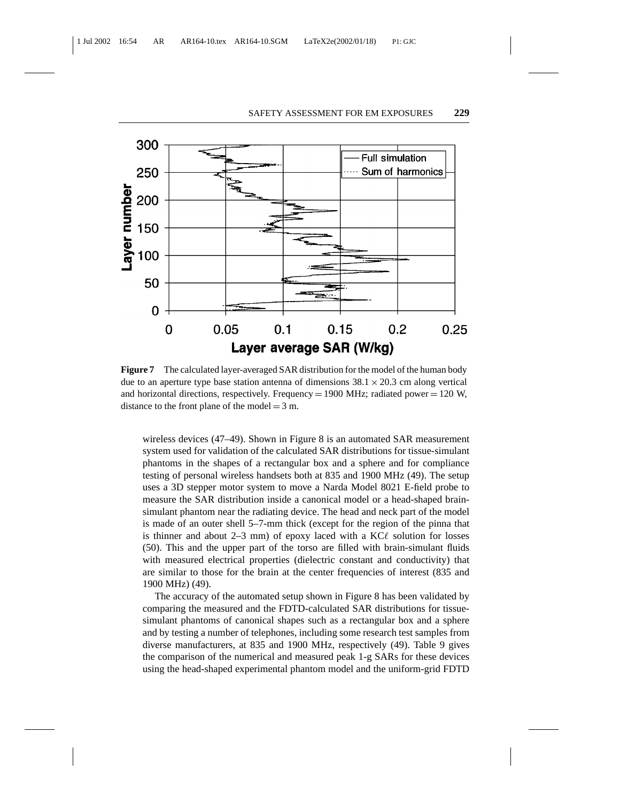

**Figure 7** The calculated layer-averaged SAR distribution for the model of the human body due to an aperture type base station antenna of dimensions  $38.1 \times 20.3$  cm along vertical and horizontal directions, respectively. Frequency =  $1900$  MHz; radiated power =  $120$  W, distance to the front plane of the model  $=$  3 m.

wireless devices (47–49). Shown in Figure 8 is an automated SAR measurement system used for validation of the calculated SAR distributions for tissue-simulant phantoms in the shapes of a rectangular box and a sphere and for compliance testing of personal wireless handsets both at 835 and 1900 MHz (49). The setup uses a 3D stepper motor system to move a Narda Model 8021 E-field probe to measure the SAR distribution inside a canonical model or a head-shaped brainsimulant phantom near the radiating device. The head and neck part of the model is made of an outer shell 5–7-mm thick (except for the region of the pinna that is thinner and about 2–3 mm) of epoxy laced with a  $KC\ell$  solution for losses (50). This and the upper part of the torso are filled with brain-simulant fluids with measured electrical properties (dielectric constant and conductivity) that are similar to those for the brain at the center frequencies of interest (835 and 1900 MHz) (49).

The accuracy of the automated setup shown in Figure 8 has been validated by comparing the measured and the FDTD-calculated SAR distributions for tissuesimulant phantoms of canonical shapes such as a rectangular box and a sphere and by testing a number of telephones, including some research test samples from diverse manufacturers, at 835 and 1900 MHz, respectively (49). Table 9 gives the comparison of the numerical and measured peak 1-g SARs for these devices using the head-shaped experimental phantom model and the uniform-grid FDTD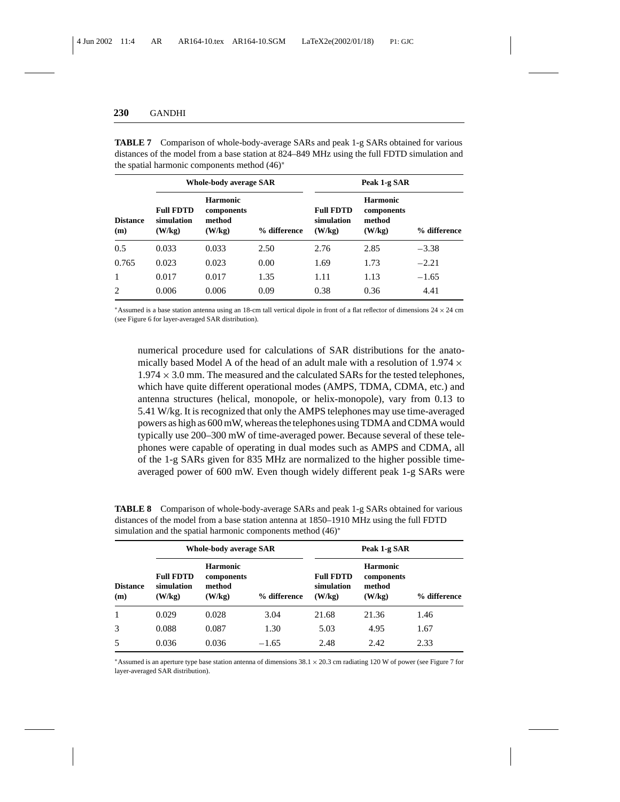|                        | <b>Whole-body average SAR</b>            |                                                   |              | Peak 1-g SAR                             |                                                   |              |
|------------------------|------------------------------------------|---------------------------------------------------|--------------|------------------------------------------|---------------------------------------------------|--------------|
| <b>Distance</b><br>(m) | <b>Full FDTD</b><br>simulation<br>(W/kg) | <b>Harmonic</b><br>components<br>method<br>(W/kg) | % difference | <b>Full FDTD</b><br>simulation<br>(W/kg) | <b>Harmonic</b><br>components<br>method<br>(W/kg) | % difference |
| 0.5                    | 0.033                                    | 0.033                                             | 2.50         | 2.76                                     | 2.85                                              | $-3.38$      |
| 0.765                  | 0.023                                    | 0.023                                             | 0.00         | 1.69                                     | 1.73                                              | $-2.21$      |
| $\mathbf{1}$           | 0.017                                    | 0.017                                             | 1.35         | 1.11                                     | 1.13                                              | $-1.65$      |
| 2                      | 0.006                                    | 0.006                                             | 0.09         | 0.38                                     | 0.36                                              | 4.41         |

**TABLE 7** Comparison of whole-body-average SARs and peak 1-g SARs obtained for various distances of the model from a base station at 824–849 MHz using the full FDTD simulation and the spatial harmonic components method (46)<sup>∗</sup>

\*Assumed is a base station antenna using an 18-cm tall vertical dipole in front of a flat reflector of dimensions  $24 \times 24$  cm (see Figure 6 for layer-averaged SAR distribution).

numerical procedure used for calculations of SAR distributions for the anatomically based Model A of the head of an adult male with a resolution of  $1.974 \times$  $1.974 \times 3.0$  mm. The measured and the calculated SARs for the tested telephones, which have quite different operational modes (AMPS, TDMA, CDMA, etc.) and antenna structures (helical, monopole, or helix-monopole), vary from 0.13 to 5.41 W/kg. It is recognized that only the AMPS telephones may use time-averaged powers as high as 600 mW, whereas the telephones using TDMA and CDMA would typically use 200–300 mW of time-averaged power. Because several of these telephones were capable of operating in dual modes such as AMPS and CDMA, all of the 1-g SARs given for 835 MHz are normalized to the higher possible timeaveraged power of 600 mW. Even though widely different peak 1-g SARs were

**TABLE 8** Comparison of whole-body-average SARs and peak 1-g SARs obtained for various distances of the model from a base station antenna at 1850–1910 MHz using the full FDTD simulation and the spatial harmonic components method (46)<sup>∗</sup>

| <b>Distance</b><br>(m) | <b>Whole-body average SAR</b>            |                                                   |              | Peak 1-g SAR                             |                                                   |              |
|------------------------|------------------------------------------|---------------------------------------------------|--------------|------------------------------------------|---------------------------------------------------|--------------|
|                        | <b>Full FDTD</b><br>simulation<br>(W/kg) | <b>Harmonic</b><br>components<br>method<br>(W/kg) | % difference | <b>Full FDTD</b><br>simulation<br>(W/kg) | <b>Harmonic</b><br>components<br>method<br>(W/kg) | % difference |
| 1                      | 0.029                                    | 0.028                                             | 3.04         | 21.68                                    | 21.36                                             | 1.46         |
| 3                      | 0.088                                    | 0.087                                             | 1.30         | 5.03                                     | 4.95                                              | 1.67         |
| 5                      | 0.036                                    | 0.036                                             | $-1.65$      | 2.48                                     | 2.42                                              | 2.33         |

<sup>∗</sup>Assumed is an aperture type base station antenna of dimensions 38.1 × 20.3 cm radiating 120 W of power (see Figure 7 for layer-averaged SAR distribution).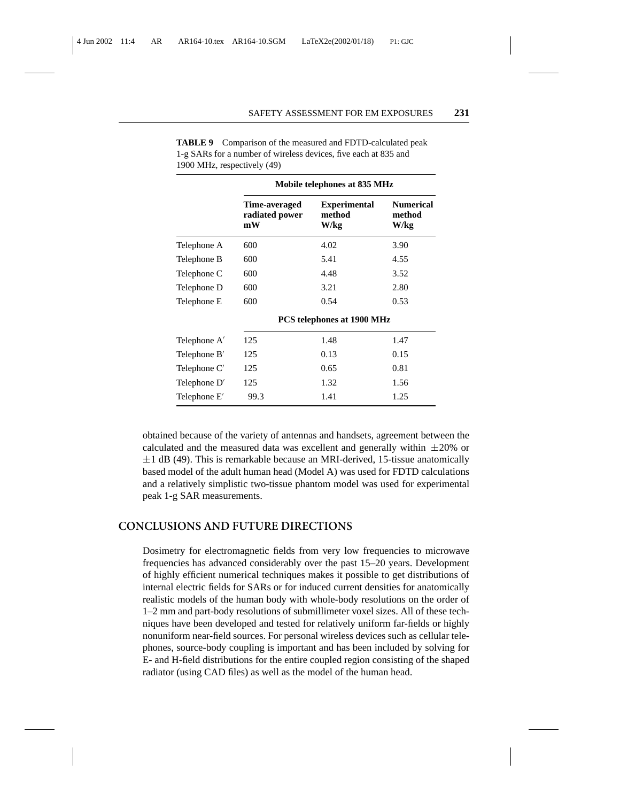|                | Mobile telephones at 835 MHz          |                                       |                                    |  |  |
|----------------|---------------------------------------|---------------------------------------|------------------------------------|--|--|
|                | Time-averaged<br>radiated power<br>mW | <b>Experimental</b><br>method<br>W/kg | <b>Numerical</b><br>method<br>W/kg |  |  |
| Telephone A    | 600                                   | 4.02                                  | 3.90                               |  |  |
| Telephone B    | 600                                   | 5.41                                  | 4.55                               |  |  |
| Telephone C    | 600                                   | 4.48                                  | 3.52                               |  |  |
| Telephone D    | 600                                   | 3.21                                  | 2.80                               |  |  |
| Telephone E    | 600                                   | 0.54                                  | 0.53                               |  |  |
|                |                                       | PCS telephones at 1900 MHz            |                                    |  |  |
| Telephone A'   | 125                                   | 1.48                                  | 1.47                               |  |  |
| Telephone $B'$ | 125                                   | 0.13                                  | 0.15                               |  |  |
| Telephone C'   | 125                                   | 0.65                                  | 0.81                               |  |  |
| Telephone D'   | 125                                   | 1.32                                  | 1.56                               |  |  |
| Telephone E'   | 99.3                                  | 1.41                                  | 1.25                               |  |  |

**TABLE 9** Comparison of the measured and FDTD-calculated peak 1-g SARs for a number of wireless devices, five each at 835 and 1900 MHz, respectively (49)

obtained because of the variety of antennas and handsets, agreement between the calculated and the measured data was excellent and generally within  $\pm 20\%$  or  $\pm 1$  dB (49). This is remarkable because an MRI-derived, 15-tissue anatomically based model of the adult human head (Model A) was used for FDTD calculations and a relatively simplistic two-tissue phantom model was used for experimental peak 1-g SAR measurements.

# **CONCLUSIONS AND FUTURE DIRECTIONS**

Dosimetry for electromagnetic fields from very low frequencies to microwave frequencies has advanced considerably over the past 15–20 years. Development of highly efficient numerical techniques makes it possible to get distributions of internal electric fields for SARs or for induced current densities for anatomically realistic models of the human body with whole-body resolutions on the order of 1–2 mm and part-body resolutions of submillimeter voxel sizes. All of these techniques have been developed and tested for relatively uniform far-fields or highly nonuniform near-field sources. For personal wireless devices such as cellular telephones, source-body coupling is important and has been included by solving for E- and H-field distributions for the entire coupled region consisting of the shaped radiator (using CAD files) as well as the model of the human head.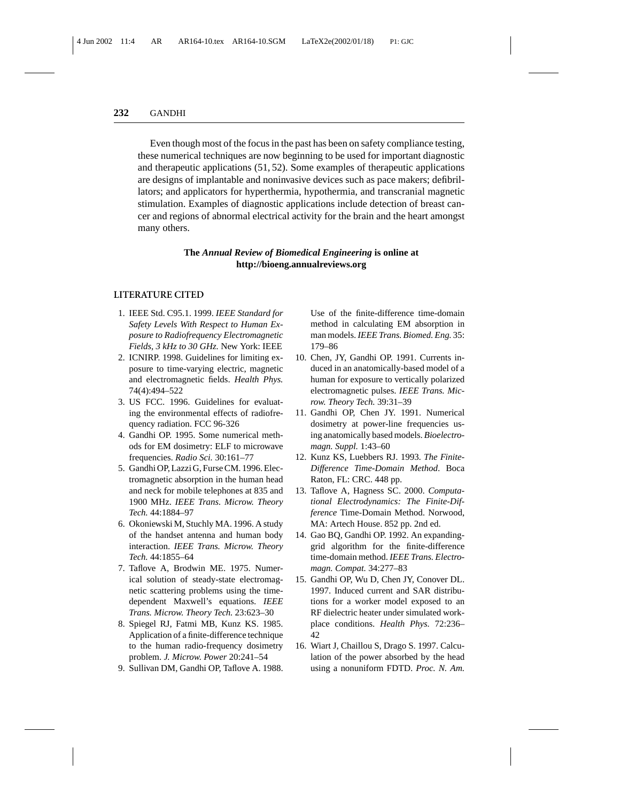Even though most of the focus in the past has been on safety compliance testing, these numerical techniques are now beginning to be used for important diagnostic and therapeutic applications (51, 52). Some examples of therapeutic applications are designs of implantable and noninvasive devices such as pace makers; defibrillators; and applicators for hyperthermia, hypothermia, and transcranial magnetic stimulation. Examples of diagnostic applications include detection of breast cancer and regions of abnormal electrical activity for the brain and the heart amongst many others.

#### **The** *Annual Review of Biomedical Engineering* **is online at http://bioeng.annualreviews.org**

#### **LITERATURE CITED**

- 1. IEEE Std. C95.1. 1999. *IEEE Standard for Safety Levels With Respect to Human Exposure to Radiofrequency Electromagnetic Fields, 3 kHz to 30 GHz.* New York: IEEE
- 2. ICNIRP. 1998. Guidelines for limiting exposure to time-varying electric, magnetic and electromagnetic fields. *Health Phys.* 74(4):494–522
- 3. US FCC. 1996. Guidelines for evaluating the environmental effects of radiofrequency radiation. FCC 96-326
- 4. Gandhi OP. 1995. Some numerical methods for EM dosimetry: ELF to microwave frequencies. *Radio Sci.* 30:161–77
- 5. Gandhi OP, Lazzi G, Furse CM. 1996. Electromagnetic absorption in the human head and neck for mobile telephones at 835 and 1900 MHz. *IEEE Trans. Microw. Theory Tech.* 44:1884–97
- 6. Okoniewski M, Stuchly MA. 1996. A study of the handset antenna and human body interaction. *IEEE Trans. Microw. Theory Tech.* 44:1855–64
- 7. Taflove A, Brodwin ME. 1975. Numerical solution of steady-state electromagnetic scattering problems using the timedependent Maxwell's equations. *IEEE Trans. Microw. Theory Tech.* 23:623–30
- 8. Spiegel RJ, Fatmi MB, Kunz KS. 1985. Application of a finite-difference technique to the human radio-frequency dosimetry problem. *J. Microw. Power* 20:241–54
- 9. Sullivan DM, Gandhi OP, Taflove A. 1988.

Use of the finite-difference time-domain method in calculating EM absorption in man models. *IEEE Trans. Biomed. Eng.* 35: 179–86

- 10. Chen, JY, Gandhi OP. 1991. Currents induced in an anatomically-based model of a human for exposure to vertically polarized electromagnetic pulses. *IEEE Trans. Microw. Theory Tech.* 39:31–39
- 11. Gandhi OP, Chen JY. 1991. Numerical dosimetry at power-line frequencies using anatomically based models. *Bioelectromagn. Suppl.* 1:43–60
- 12. Kunz KS, Luebbers RJ. 1993. *The Finite-Difference Time-Domain Method*. Boca Raton, FL: CRC. 448 pp.
- 13. Taflove A, Hagness SC. 2000. *Computational Electrodynamics: The Finite-Difference* Time-Domain Method. Norwood, MA: Artech House. 852 pp. 2nd ed.
- 14. Gao BQ, Gandhi OP. 1992. An expandinggrid algorithm for the finite-difference time-domain method. *IEEE Trans. Electromagn. Compat.* 34:277–83
- 15. Gandhi OP, Wu D, Chen JY, Conover DL. 1997. Induced current and SAR distributions for a worker model exposed to an RF dielectric heater under simulated workplace conditions. *Health Phys.* 72:236– 42
- 16. Wiart J, Chaillou S, Drago S. 1997. Calculation of the power absorbed by the head using a nonuniform FDTD. *Proc. N. Am.*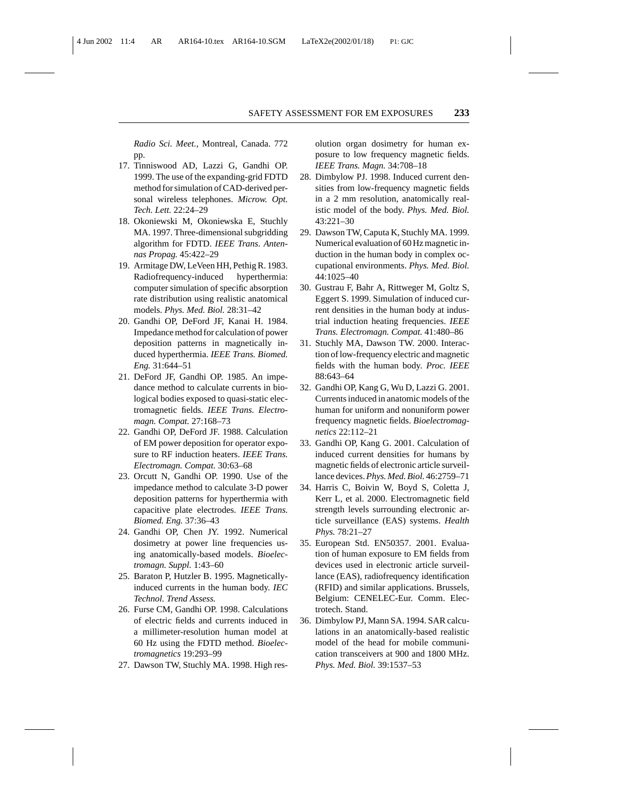*Radio Sci. Meet.,* Montreal, Canada. 772 pp.

- 17. Tinniswood AD, Lazzi G, Gandhi OP. 1999. The use of the expanding-grid FDTD method for simulation of CAD-derived personal wireless telephones. *Microw. Opt. Tech. Lett.* 22:24–29
- 18. Okoniewski M, Okoniewska E, Stuchly MA. 1997. Three-dimensional subgridding algorithm for FDTD. *IEEE Trans. Antennas Propag.* 45:422–29
- 19. Armitage DW, LeVeen HH, Pethig R. 1983. Radiofrequency-induced hyperthermia: computer simulation of specific absorption rate distribution using realistic anatomical models. *Phys. Med. Biol.* 28:31–42
- 20. Gandhi OP, DeFord JF, Kanai H. 1984. Impedance method for calculation of power deposition patterns in magnetically induced hyperthermia. *IEEE Trans. Biomed. Eng.* 31:644–51
- 21. DeFord JF, Gandhi OP. 1985. An impedance method to calculate currents in biological bodies exposed to quasi-static electromagnetic fields. *IEEE Trans. Electromagn. Compat.* 27:168–73
- 22. Gandhi OP, DeFord JF. 1988. Calculation of EM power deposition for operator exposure to RF induction heaters. *IEEE Trans. Electromagn. Compat.* 30:63–68
- 23. Orcutt N, Gandhi OP. 1990. Use of the impedance method to calculate 3-D power deposition patterns for hyperthermia with capacitive plate electrodes. *IEEE Trans. Biomed. Eng.* 37:36–43
- 24. Gandhi OP, Chen JY. 1992. Numerical dosimetry at power line frequencies using anatomically-based models. *Bioelectromagn. Suppl.* 1:43–60
- 25. Baraton P, Hutzler B. 1995. Magneticallyinduced currents in the human body. *IEC Technol. Trend Assess.*
- 26. Furse CM, Gandhi OP. 1998. Calculations of electric fields and currents induced in a millimeter-resolution human model at 60 Hz using the FDTD method. *Bioelectromagnetics* 19:293–99
- 27. Dawson TW, Stuchly MA. 1998. High res-

olution organ dosimetry for human exposure to low frequency magnetic fields. *IEEE Trans. Magn.* 34:708–18

- 28. Dimbylow PJ. 1998. Induced current densities from low-frequency magnetic fields in a 2 mm resolution, anatomically realistic model of the body. *Phys. Med. Biol.* 43:221–30
- 29. Dawson TW, Caputa K, Stuchly MA. 1999. Numerical evaluation of 60 Hz magnetic induction in the human body in complex occupational environments. *Phys. Med. Biol.* 44:1025–40
- 30. Gustrau F, Bahr A, Rittweger M, Goltz S, Eggert S. 1999. Simulation of induced current densities in the human body at industrial induction heating frequencies. *IEEE Trans. Electromagn. Compat.* 41:480–86
- 31. Stuchly MA, Dawson TW. 2000. Interaction of low-frequency electric and magnetic fields with the human body. *Proc. IEEE* 88:643–64
- 32. Gandhi OP, Kang G, Wu D, Lazzi G. 2001. Currents induced in anatomic models of the human for uniform and nonuniform power frequency magnetic fields. *Bioelectromagnetics* 22:112–21
- 33. Gandhi OP, Kang G. 2001. Calculation of induced current densities for humans by magnetic fields of electronic article surveillance devices.*Phys. Med. Biol.* 46:2759–71
- 34. Harris C, Boivin W, Boyd S, Coletta J, Kerr L, et al. 2000. Electromagnetic field strength levels surrounding electronic article surveillance (EAS) systems. *Health Phys.* 78:21–27
- 35. European Std. EN50357. 2001. Evaluation of human exposure to EM fields from devices used in electronic article surveillance (EAS), radiofrequency identification (RFID) and similar applications. Brussels, Belgium: CENELEC-Eur. Comm. Electrotech. Stand.
- 36. Dimbylow PJ, Mann SA. 1994. SAR calculations in an anatomically-based realistic model of the head for mobile communication transceivers at 900 and 1800 MHz. *Phys. Med. Biol.* 39:1537–53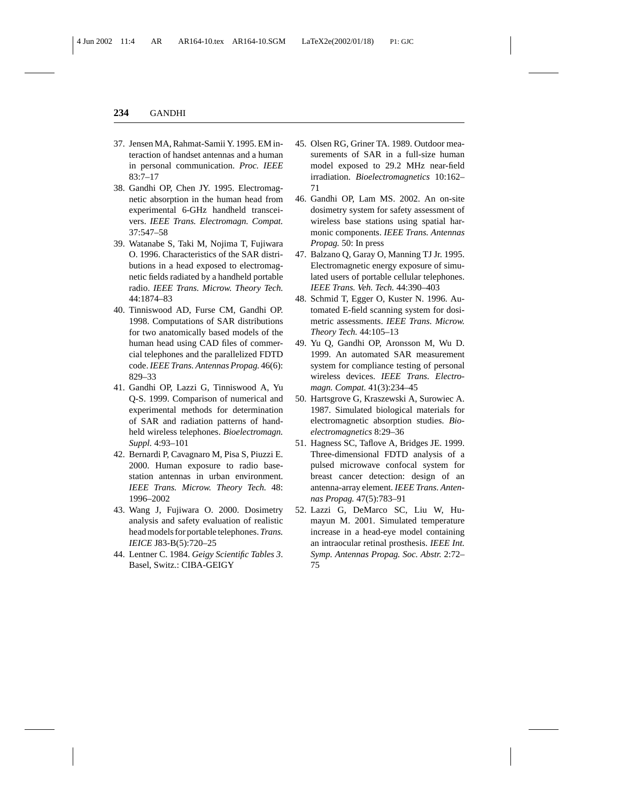- 37. Jensen MA, Rahmat-Samii Y. 1995. EM interaction of handset antennas and a human in personal communication. *Proc. IEEE* 83:7–17
- 38. Gandhi OP, Chen JY. 1995. Electromagnetic absorption in the human head from experimental 6-GHz handheld transceivers. *IEEE Trans. Electromagn. Compat.* 37:547–58
- 39. Watanabe S, Taki M, Nojima T, Fujiwara O. 1996. Characteristics of the SAR distributions in a head exposed to electromagnetic fields radiated by a handheld portable radio. *IEEE Trans. Microw. Theory Tech.* 44:1874–83
- 40. Tinniswood AD, Furse CM, Gandhi OP. 1998. Computations of SAR distributions for two anatomically based models of the human head using CAD files of commercial telephones and the parallelized FDTD code.*IEEE Trans. Antennas Propag.* 46(6): 829–33
- 41. Gandhi OP, Lazzi G, Tinniswood A, Yu Q-S. 1999. Comparison of numerical and experimental methods for determination of SAR and radiation patterns of handheld wireless telephones. *Bioelectromagn. Suppl.* 4:93–101
- 42. Bernardi P, Cavagnaro M, Pisa S, Piuzzi E. 2000. Human exposure to radio basestation antennas in urban environment. *IEEE Trans. Microw. Theory Tech.* 48: 1996–2002
- 43. Wang J, Fujiwara O. 2000. Dosimetry analysis and safety evaluation of realistic head models for portable telephones. *Trans. IEICE* J83-B(5):720–25
- 44. Lentner C. 1984. *Geigy Scientific Tables 3*. Basel, Switz.: CIBA-GEIGY
- 45. Olsen RG, Griner TA. 1989. Outdoor measurements of SAR in a full-size human model exposed to 29.2 MHz near-field irradiation. *Bioelectromagnetics* 10:162– 71
- 46. Gandhi OP, Lam MS. 2002. An on-site dosimetry system for safety assessment of wireless base stations using spatial harmonic components. *IEEE Trans. Antennas Propag.* 50: In press
- 47. Balzano Q, Garay O, Manning TJ Jr. 1995. Electromagnetic energy exposure of simulated users of portable cellular telephones. *IEEE Trans. Veh. Tech.* 44:390–403
- 48. Schmid T, Egger O, Kuster N. 1996. Automated E-field scanning system for dosimetric assessments. *IEEE Trans. Microw. Theory Tech.* 44:105–13
- 49. Yu Q, Gandhi OP, Aronsson M, Wu D. 1999. An automated SAR measurement system for compliance testing of personal wireless devices. *IEEE Trans. Electromagn. Compat.* 41(3):234–45
- 50. Hartsgrove G, Kraszewski A, Surowiec A. 1987. Simulated biological materials for electromagnetic absorption studies. *Bioelectromagnetics* 8:29–36
- 51. Hagness SC, Taflove A, Bridges JE. 1999. Three-dimensional FDTD analysis of a pulsed microwave confocal system for breast cancer detection: design of an antenna-array element. *IEEE Trans. Antennas Propag.* 47(5):783–91
- 52. Lazzi G, DeMarco SC, Liu W, Humayun M. 2001. Simulated temperature increase in a head-eye model containing an intraocular retinal prosthesis. *IEEE Int. Symp. Antennas Propag. Soc. Abstr.* 2:72– 75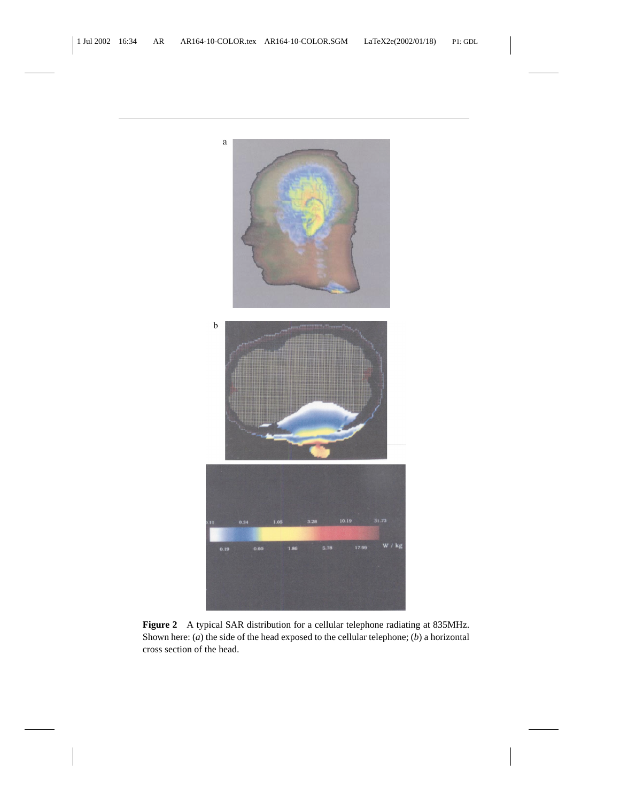

**Figure 2** A typical SAR distribution for a cellular telephone radiating at 835MHz. Shown here: (*a*) the side of the head exposed to the cellular telephone; (*b*) a horizontal cross section of the head.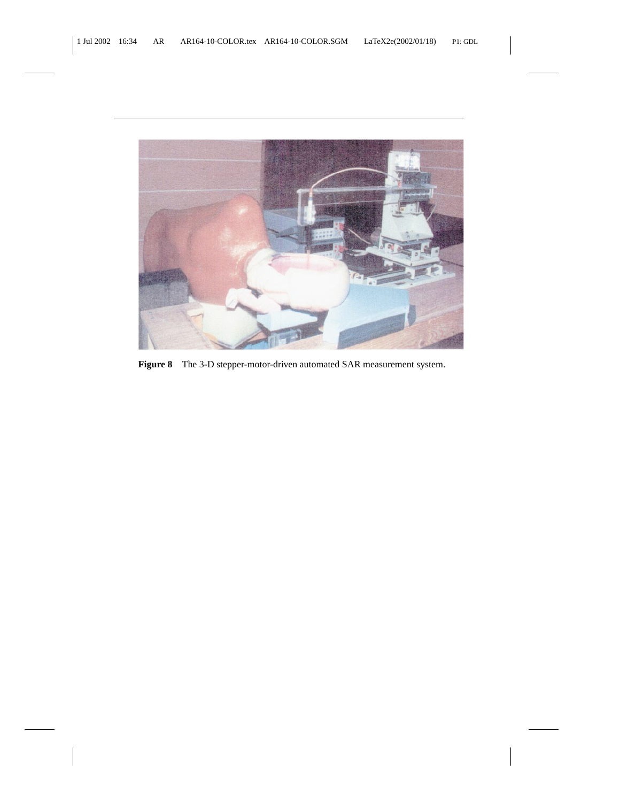

**Figure 8** The 3-D stepper-motor-driven automated SAR measurement system.